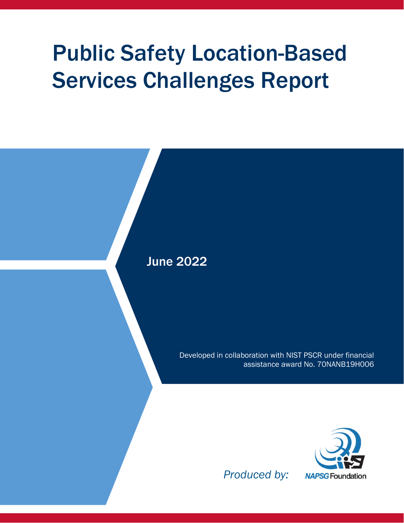# Public Safety Location-Based Services Challenges Report

June 2022

Developed in collaboration with NIST PSCR under financial assistance award No. 70NANB19H006



*Produced by:*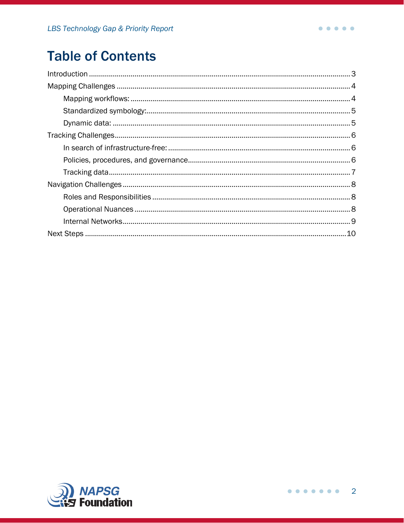# **Table of Contents**

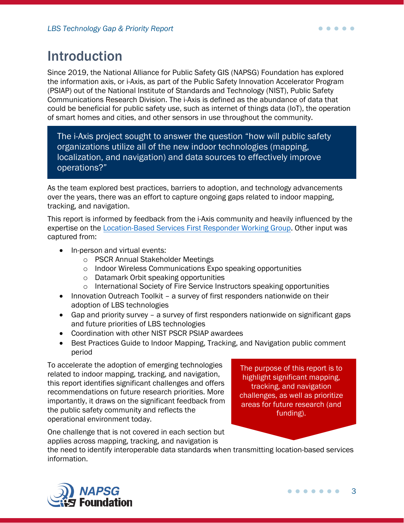# <span id="page-2-0"></span>Introduction

Since 2019, the National Alliance for Public Safety GIS (NAPSG) Foundation has explored the information axis, or i-Axis, as part of the Public Safety Innovation Accelerator Program (PSIAP) out of the National Institute of Standards and Technology (NIST), Public Safety Communications Research Division. The i-Axis is defined as the abundance of data that could be beneficial for public safety use, such as internet of things data (IoT), the operation of smart homes and cities, and other sensors in use throughout the community.

The i-Axis project sought to answer the question "how will public safety organizations utilize all of the new indoor technologies (mapping, localization, and navigation) and data sources to effectively improve operations?"

As the team explored best practices, barriers to adoption, and technology advancements over the years, there was an effort to capture ongoing gaps related to indoor mapping, tracking, and navigation.

This report is informed by feedback from the i-Axis community and heavily influenced by the expertise on the [Location-Based Services First](https://i-axis.napsgfoundation.org/pages/working-group) Responder Working Group. Other input was captured from:

- In-person and virtual events:
	- o PSCR Annual Stakeholder Meetings
	- o Indoor Wireless Communications Expo speaking opportunities
	- o Datamark Orbit speaking opportunities
	- o International Society of Fire Service Instructors speaking opportunities
- Innovation Outreach Toolkit a survey of first responders nationwide on their adoption of LBS technologies
- Gap and priority survey a survey of first responders nationwide on significant gaps and future priorities of LBS technologies
- Coordination with other NIST PSCR PSIAP awardees
- Best Practices Guide to Indoor Mapping, Tracking, and Navigation public comment period

To accelerate the adoption of emerging technologies related to indoor mapping, tracking, and navigation, this report identifies significant challenges and offers recommendations on future research priorities. More importantly, it draws on the significant feedback from the public safety community and reflects the operational environment today.

The purpose of this report is to highlight significant mapping, tracking, and navigation challenges, as well as prioritize areas for future research (and funding).

One challenge that is not covered in each section but applies across mapping, tracking, and navigation is

the need to identify interoperable data standards when transmitting location-based services information.

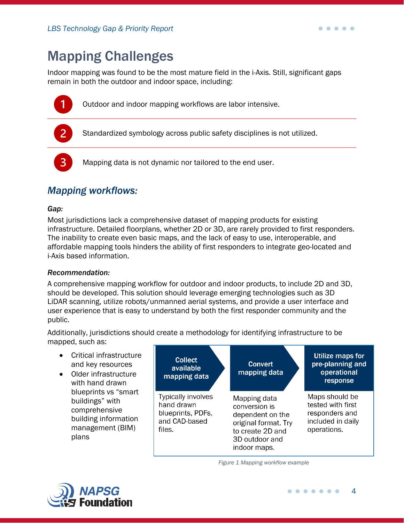<span id="page-3-0"></span>Indoor mapping was found to be the most mature field in the i-Axis. Still, significant gaps remain in both the outdoor and indoor space, including:



Outdoor and indoor mapping workflows are labor intensive.

Standardized symbology across public safety disciplines is not utilized.

Mapping data is not dynamic nor tailored to the end user.

# <span id="page-3-1"></span>*Mapping workflows:*

#### *Gap:*

Most jurisdictions lack a comprehensive dataset of mapping products for existing infrastructure. Detailed floorplans, whether 2D or 3D, are rarely provided to first responders. The inability to create even basic maps, and the lack of easy to use, interoperable, and affordable mapping tools hinders the ability of first responders to integrate geo-located and i-Axis based information.

#### *Recommendation:*

A comprehensive mapping workflow for outdoor and indoor products, to include 2D and 3D, should be developed. This solution should leverage emerging technologies such as 3D LiDAR scanning, utilize robots/unmanned aerial systems, and provide a user interface and user experience that is easy to understand by both the first responder community and the public.

Additionally, jurisdictions should create a methodology for identifying infrastructure to be mapped, such as:

- Critical infrastructure and key resources
- Older infrastructure with hand drawn blueprints vs "smart buildings" with comprehensive building information management (BIM) plans



*Figure 1 Mapping workflow example*



. . . . .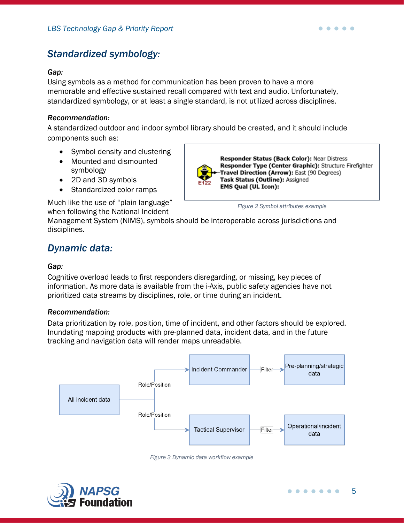# <span id="page-4-0"></span>*Standardized symbology:*

#### *Gap:*

Using symbols as a method for communication has been proven to have a more memorable and effective sustained recall compared with text and audio. Unfortunately, standardized symbology, or at least a single standard, is not utilized across disciplines.

#### *Recommendation:*

A standardized outdoor and indoor symbol library should be created, and it should include components such as:

- Symbol density and clustering
- Mounted and dismounted symbology
- 2D and 3D symbols
- Standardized color ramps

Responder Status (Back Color): Near Distress Responder Type (Center Graphic): Structure Firefighter Travel Direction (Arrow): East (90 Degrees) Task Status (Outline): Assigned **EMS Qual (UL Icon):** 

*Figure 2 Symbol attributes example*

Much like the use of "plain language" when following the National Incident

Management System (NIMS), symbols should be interoperable across jurisdictions and disciplines.

# <span id="page-4-1"></span>*Dynamic data:*

#### *Gap:*

Cognitive overload leads to first responders disregarding, or missing, key pieces of information. As more data is available from the i-Axis, public safety agencies have not prioritized data streams by disciplines, role, or time during an incident.

#### *Recommendation:*

Data prioritization by role, position, time of incident, and other factors should be explored. Inundating mapping products with pre-planned data, incident data, and in the future tracking and navigation data will render maps unreadable.





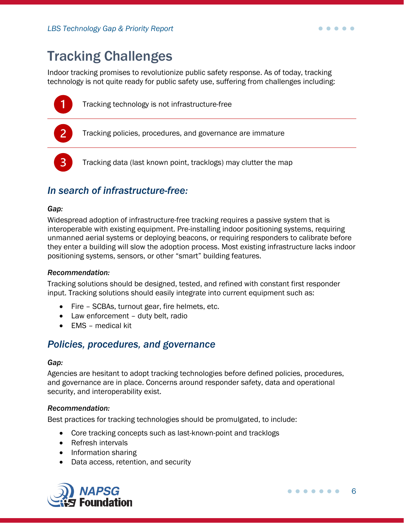# <span id="page-5-0"></span>Tracking Challenges

Indoor tracking promises to revolutionize public safety response. As of today, tracking technology is not quite ready for public safety use, suffering from challenges including:



Tracking data (last known point, tracklogs) may clutter the map

# <span id="page-5-1"></span>*In search of infrastructure-free:*

#### *Gap:*

Widespread adoption of infrastructure-free tracking requires a passive system that is interoperable with existing equipment. Pre-installing indoor positioning systems, requiring unmanned aerial systems or deploying beacons, or requiring responders to calibrate before they enter a building will slow the adoption process. Most existing infrastructure lacks indoor positioning systems, sensors, or other "smart" building features.

#### *Recommendation:*

Tracking solutions should be designed, tested, and refined with constant first responder input. Tracking solutions should easily integrate into current equipment such as:

- Fire SCBAs, turnout gear, fire helmets, etc.
- Law enforcement duty belt, radio
- EMS medical kit

## <span id="page-5-2"></span>*Policies, procedures, and governance*

#### *Gap:*

Agencies are hesitant to adopt tracking technologies before defined policies, procedures, and governance are in place. Concerns around responder safety, data and operational security, and interoperability exist.

#### *Recommendation:*

Best practices for tracking technologies should be promulgated, to include:

- Core tracking concepts such as last-known-point and tracklogs
- Refresh intervals
- Information sharing
- Data access, retention, and security



 $\bullet\hspace{0.1cm} \bullet\hspace{0.1cm} \bullet\hspace{0.1cm} \bullet\hspace{0.1cm} \bullet\hspace{0.1cm} \bullet$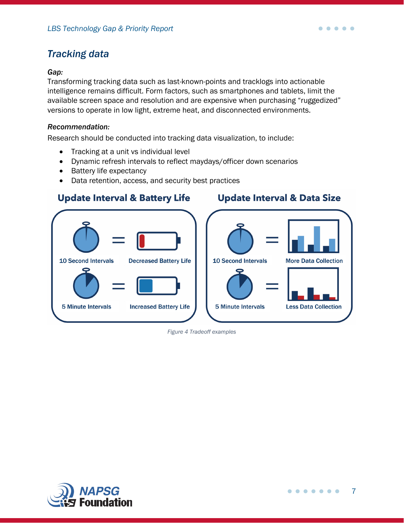# <span id="page-6-0"></span>*Tracking data*

#### *Gap:*

Transforming tracking data such as last-known-points and tracklogs into actionable intelligence remains difficult. Form factors, such as smartphones and tablets, limit the available screen space and resolution and are expensive when purchasing "ruggedized" versions to operate in low light, extreme heat, and disconnected environments.

#### *Recommendation:*

Research should be conducted into tracking data visualization, to include:

- Tracking at a unit vs individual level
- Dynamic refresh intervals to reflect maydays/officer down scenarios
- Battery life expectancy
- Data retention, access, and security best practices

## **Update Interval & Battery Life**

### **Update Interval & Data Size**

 $\bullet\hspace{0.1cm} \bullet\hspace{0.1cm} \bullet\hspace{0.1cm} \bullet\hspace{0.1cm} \bullet\hspace{0.1cm} \bullet$ 



*Figure 4 Tradeoff examples*

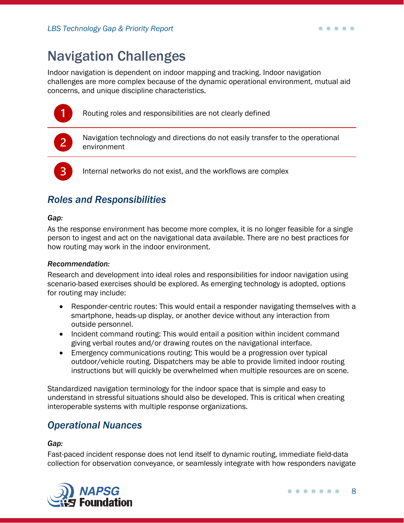# <span id="page-7-0"></span>Navigation Challenges

Indoor navigation is dependent on indoor mapping and tracking. Indoor navigation challenges are more complex because of the dynamic operational environment, mutual aid concerns, and unique discipline characteristics.



Routing roles and responsibilities are not clearly defined



Navigation technology and directions do not easily transfer to the operational environment

Internal networks do not exist, and the workflows are complex

# <span id="page-7-1"></span>*Roles and Responsibilities*

#### *Gap:*

As the response environment has become more complex, it is no longer feasible for a single person to ingest and act on the navigational data available. There are no best practices for how routing may work in the indoor environment.

#### *Recommendation:*

Research and development into ideal roles and responsibilities for indoor navigation using scenario-based exercises should be explored. As emerging technology is adopted, options for routing may include:

- Responder-centric routes: This would entail a responder navigating themselves with a smartphone, heads-up display, or another device without any interaction from outside personnel.
- Incident command routing: This would entail a position within incident command giving verbal routes and/or drawing routes on the navigational interface.
- Emergency communications routing: This would be a progression over typical outdoor/vehicle routing. Dispatchers may be able to provide limited indoor routing instructions but will quickly be overwhelmed when multiple resources are on scene.

Standardized navigation terminology for the indoor space that is simple and easy to understand in stressful situations should also be developed. This is critical when creating interoperable systems with multiple response organizations.

## <span id="page-7-2"></span>*Operational Nuances*

#### *Gap:*

Fast-paced incident response does not lend itself to dynamic routing, immediate field-data collection for observation conveyance, or seamlessly integrate with how responders navigate

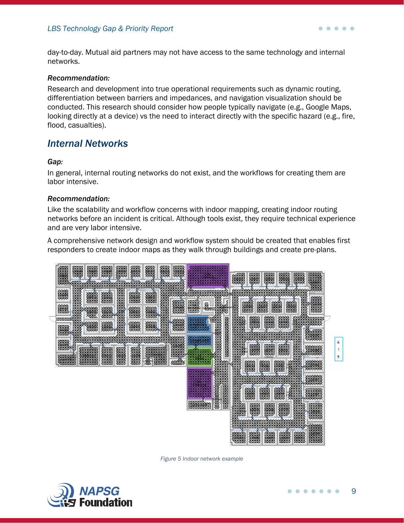day-to-day. Mutual aid partners may not have access to the same technology and internal networks.

#### *Recommendation:*

Research and development into true operational requirements such as dynamic routing, differentiation between barriers and impedances, and navigation visualization should be conducted. This research should consider how people typically navigate (e.g., Google Maps, looking directly at a device) vs the need to interact directly with the specific hazard (e.g., fire, flood, casualties).

### <span id="page-8-0"></span>*Internal Networks*

#### *Gap:*

In general, internal routing networks do not exist, and the workflows for creating them are labor intensive.

#### *Recommendation:*

Like the scalability and workflow concerns with indoor mapping, creating indoor routing networks before an incident is critical. Although tools exist, they require technical experience and are very labor intensive.

A comprehensive network design and workflow system should be created that enables first responders to create indoor maps as they walk through buildings and create pre-plans.



*Figure 5 Indoor network example*